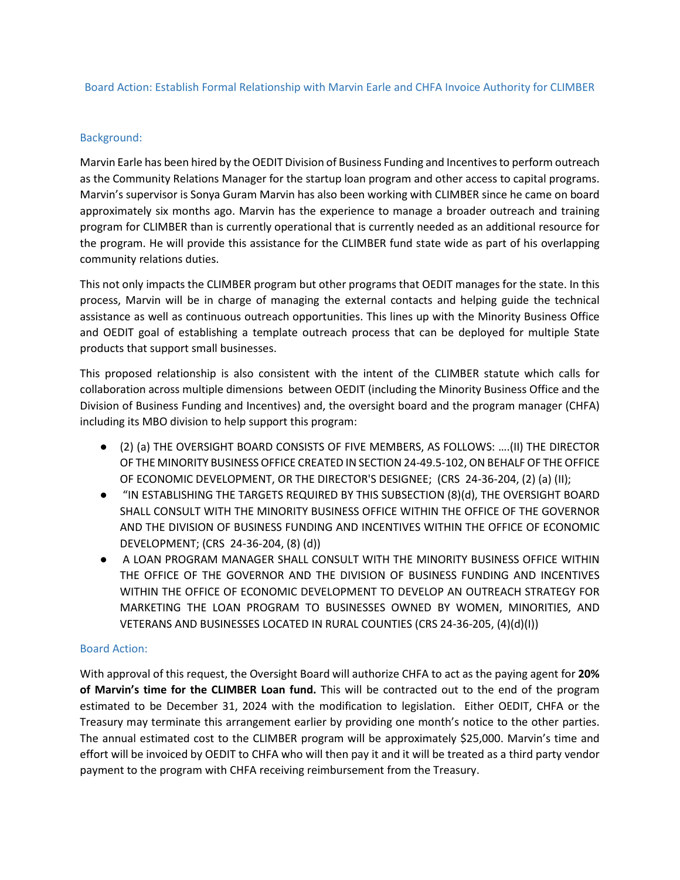## Board Action: Establish Formal Relationship with Marvin Earle and CHFA Invoice Authority for CLIMBER

## Background:

Marvin Earle has been hired by the OEDIT Division of Business Funding and Incentives to perform outreach as the Community Relations Manager for the startup loan program and other access to capital programs. Marvin's supervisor is Sonya Guram Marvin has also been working with CLIMBER since he came on board approximately six months ago. Marvin has the experience to manage a broader outreach and training program for CLIMBER than is currently operational that is currently needed as an additional resource for the program. He will provide this assistance for the CLIMBER fund state wide as part of his overlapping community relations duties.

This not only impacts the CLIMBER program but other programs that OEDIT manages for the state. In this process, Marvin will be in charge of managing the external contacts and helping guide the technical assistance as well as continuous outreach opportunities. This lines up with the Minority Business Office and OEDIT goal of establishing a template outreach process that can be deployed for multiple State products that support small businesses.

This proposed relationship is also consistent with the intent of the CLIMBER statute which calls for collaboration across multiple dimensions between OEDIT (including the Minority Business Office and the Division of Business Funding and Incentives) and, the oversight board and the program manager (CHFA) including its MBO division to help support this program:

- (2) (a) THE OVERSIGHT BOARD CONSISTS OF FIVE MEMBERS, AS FOLLOWS: ….(II) THE DIRECTOR OF THE MINORITY BUSINESS OFFICE CREATED IN SECTION 24-49.5-102, ON BEHALF OF THE OFFICE OF ECONOMIC DEVELOPMENT, OR THE DIRECTOR'S DESIGNEE; (CRS 24-36-204, (2) (a) (II);
- "IN ESTABLISHING THE TARGETS REQUIRED BY THIS SUBSECTION (8)(d), THE OVERSIGHT BOARD SHALL CONSULT WITH THE MINORITY BUSINESS OFFICE WITHIN THE OFFICE OF THE GOVERNOR AND THE DIVISION OF BUSINESS FUNDING AND INCENTIVES WITHIN THE OFFICE OF ECONOMIC DEVELOPMENT; (CRS 24-36-204, (8) (d))
- A LOAN PROGRAM MANAGER SHALL CONSULT WITH THE MINORITY BUSINESS OFFICE WITHIN THE OFFICE OF THE GOVERNOR AND THE DIVISION OF BUSINESS FUNDING AND INCENTIVES WITHIN THE OFFICE OF ECONOMIC DEVELOPMENT TO DEVELOP AN OUTREACH STRATEGY FOR MARKETING THE LOAN PROGRAM TO BUSINESSES OWNED BY WOMEN, MINORITIES, AND VETERANS AND BUSINESSES LOCATED IN RURAL COUNTIES (CRS 24-36-205, (4)(d)(I))

## Board Action:

With approval of this request, the Oversight Board will authorize CHFA to act as the paying agent for **20% of Marvin's time for the CLIMBER Loan fund.** This will be contracted out to the end of the program estimated to be December 31, 2024 with the modification to legislation. Either OEDIT, CHFA or the Treasury may terminate this arrangement earlier by providing one month's notice to the other parties. The annual estimated cost to the CLIMBER program will be approximately \$25,000. Marvin's time and effort will be invoiced by OEDIT to CHFA who will then pay it and it will be treated as a third party vendor payment to the program with CHFA receiving reimbursement from the Treasury.